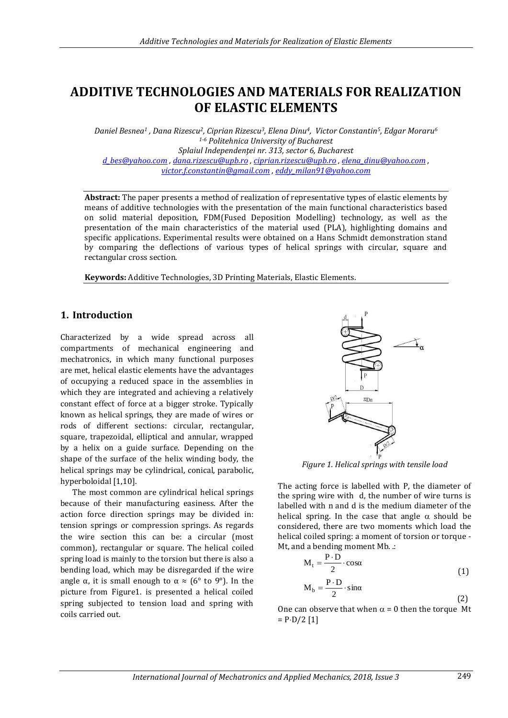# **ADDITIVE TECHNOLOGIES AND MATERIALS FOR REALIZATION OF ELASTIC ELEMENTS**

*Daniel Besnea<sup>1</sup> , Dana Rizescu2, Ciprian Rizescu3, Elena Dinu4, Victor Constantin5, Edgar Moraru<sup>6</sup> 1-6 Politehnica University of Bucharest Splaiul Independenţei nr. 313, sector 6, Bucharest [d\\_bes@yahoo.com](mailto:d_bes@yahoo.com) , [dana.rizescu@upb.ro](mailto:dana.rizescu@upb.ro) [, ciprian.rizescu@upb.ro](mailto:ciprian.rizescu@upb.ro) , [elena\\_dinu@yahoo.com](mailto:elena_dinu@yahoo.com) , [victor.f.constantin@gmail.com](mailto:victor.f.constantin@gmail.com) , [eddy\\_milan91@yahoo.com](mailto:eddy_milan91@yahoo.com)*

**Abstract:** The paper presents a method of realization of representative types of elastic elements by means of additive technologies with the presentation of the main functional characteristics based on solid material deposition, FDM(Fused Deposition Modelling) technology, as well as the presentation of the main characteristics of the material used (PLA), highlighting domains and specific applications. Experimental results were obtained on a Hans Schmidt demonstration stand by comparing the deflections of various types of helical springs with circular, square and rectangular cross section.

**Keywords:** Additive Technologies, 3D Printing Materials, Elastic Elements.

## **1. Introduction**

Characterized by a wide spread across all compartments of mechanical engineering and mechatronics, in which many functional purposes are met, helical elastic elements have the advantages of occupying a reduced space in the assemblies in which they are integrated and achieving a relatively constant effect of force at a bigger stroke. Typically known as helical springs, they are made of wires or rods of different sections: circular, rectangular, square, trapezoidal, elliptical and annular, wrapped by a helix on a guide surface. Depending on the shape of the surface of the helix winding body, the helical springs may be cylindrical, conical, parabolic, hyperboloidal [1,10].

The most common are cylindrical helical springs because of their manufacturing easiness. After the action force direction springs may be divided in: tension springs or compression springs. As regards the wire section this can be: a circular (most common), rectangular or square. The helical coiled spring load is mainly to the torsion but there is also a bending load, which may be disregarded if the wire angle α, it is small enough to  $\alpha \approx (6^{\circ}$  to 9°). In the picture from Figure1. is presented a helical coiled spring subjected to tension load and spring with coils carried out.



*Figure 1. Helical springs with tensile load*

The acting force is labelled with P, the diameter of the spring wire with d, the number of wire turns is labelled with n and d is the medium diameter of the helical spring. In the case that angle  $\alpha$  should be considered, there are two moments which load the helical coiled spring: a moment of torsion or torque - Mt, and a bending moment Mb. .:

$$
M_t = \frac{P \cdot D}{2} \cdot \cos \alpha \tag{1}
$$

$$
M_b = \frac{P \cdot D}{2} \cdot \sin \alpha \tag{2}
$$

One can observe that when  $\alpha = 0$  then the torque Mt  $=$  P·D/2 [1]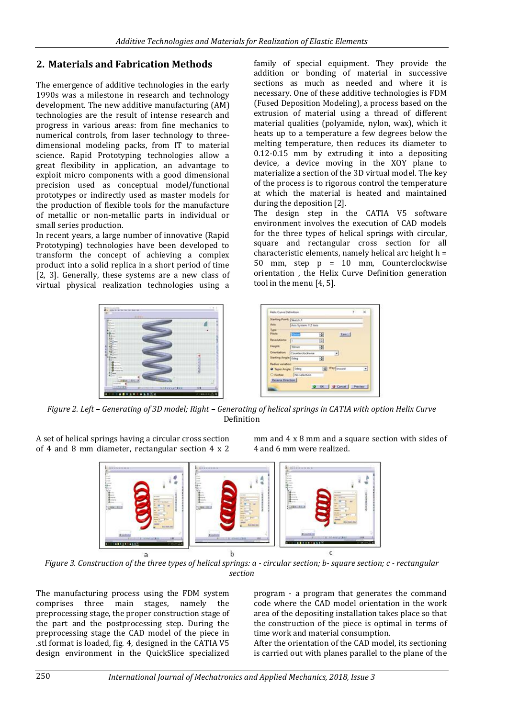# **2. Materials and Fabrication Methods**

The emergence of additive technologies in the early 1990s was a milestone in research and technology development. The new additive manufacturing (AM) technologies are the result of intense research and progress in various areas: from fine mechanics to numerical controls, from laser technology to threedimensional modeling packs, from IT to material science. Rapid Prototyping technologies allow a great flexibility in application, an advantage to exploit micro components with a good dimensional precision used as conceptual model/functional prototypes or indirectly used as master models for the production of flexible tools for the manufacture of metallic or non-metallic parts in individual or small series production.

In recent years, a large number of innovative (Rapid Prototyping) technologies have been developed to transform the concept of achieving a complex product into a solid replica in a short period of time [2, 3]. Generally, these systems are a new class of virtual physical realization technologies using a

family of special equipment. They provide the addition or bonding of material in successive sections as much as needed and where it is necessary. One of these additive technologies is FDM (Fused Deposition Modeling), a process based on the extrusion of material using a thread of different material qualities (polyamide, nylon, wax), which it heats up to a temperature a few degrees below the melting temperature, then reduces its diameter to 0.12-0.15 mm by extruding it into a depositing device, a device moving in the XOY plane to materialize a section of the 3D virtual model. The key of the process is to rigorous control the temperature at which the material is heated and maintained during the deposition [2].

The design step in the CATIA V5 software environment involves the execution of CAD models for the three types of helical springs with circular, square and rectangular cross section for all characteristic elements, namely helical arc height h = 50 mm, step p = 10 mm, Counterclockwise orientation , the Helix Curve Definition generation tool in the menu [4, 5].

 $NTA$ 

B 蘭

OC | @ Cancel | ON



*Figure 2. Left – Generating of 3D model; Right – Generating of helical springs in CATIA with option Helix Curve* Definition

A set of helical springs having a circular cross section of 4 and 8 mm diameter, rectangular section 4 x 2 mm and 4 x 8 mm and a square section with sides of 4 and 6 mm were realized.



*Figure 3. Construction of the three types of helical springs: a - circular section; b- square section; c - rectangular section*

The manufacturing process using the FDM system comprises three main stages, namely the preprocessing stage, the proper construction stage of the part and the postprocessing step. During the preprocessing stage the CAD model of the piece in .stl format is loaded, fig. 4, designed in the CATIA V5 design environment in the QuickSlice specialized

program - a program that generates the command code where the CAD model orientation in the work area of the depositing installation takes place so that the construction of the piece is optimal in terms of time work and material consumption.

After the orientation of the CAD model, its sectioning is carried out with planes parallel to the plane of the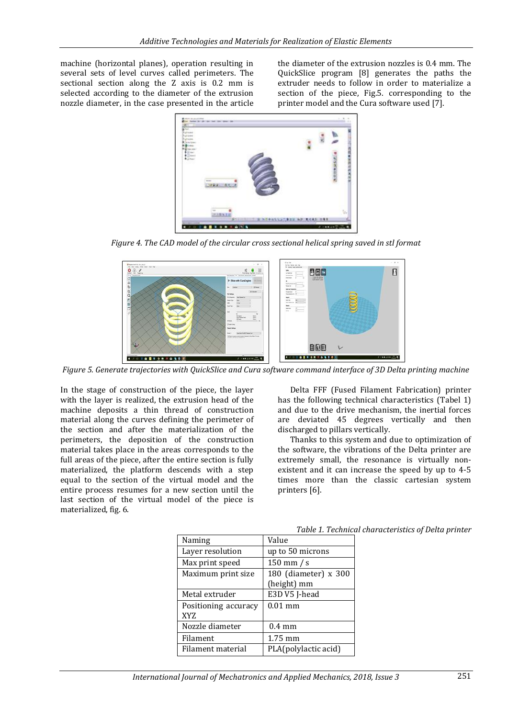machine (horizontal planes), operation resulting in several sets of level curves called perimeters. The sectional section along the Z axis is 0.2 mm is selected according to the diameter of the extrusion nozzle diameter, in the case presented in the article

the diameter of the extrusion nozzles is 0.4 mm. The QuickSlice program [8] generates the paths the extruder needs to follow in order to materialize a section of the piece, Fig.5. corresponding to the printer model and the Cura software used [7].



*Figure 4. The CAD model of the circular cross sectional helical spring saved in stl format*



*Figure 5. Generate trajectories with QuickSlice and Cura software command interface of 3D Delta printing machine*

In the stage of construction of the piece, the layer with the layer is realized, the extrusion head of the machine deposits a thin thread of construction material along the curves defining the perimeter of the section and after the materialization of the perimeters, the deposition of the construction material takes place in the areas corresponds to the full areas of the piece, after the entire section is fully materialized, the platform descends with a step equal to the section of the virtual model and the entire process resumes for a new section until the last section of the virtual model of the piece is materialized, fig. 6.

Delta FFF (Fused Filament Fabrication) printer has the following technical characteristics (Tabel 1) and due to the drive mechanism, the inertial forces are deviated 45 degrees vertically and then discharged to pillars vertically.

Thanks to this system and due to optimization of the software, the vibrations of the Delta printer are extremely small, the resonance is virtually nonexistent and it can increase the speed by up to 4-5 times more than the classic cartesian system printers [6].

| Naming                      | Value                               |
|-----------------------------|-------------------------------------|
| Layer resolution            | up to 50 microns                    |
| Max print speed             | $150$ mm / s                        |
| Maximum print size          | 180 (diameter) x 300<br>(height) mm |
| Metal extruder              | E3D V5 J-head                       |
| Positioning accuracy<br>XYZ | $0.01$ mm                           |
| Nozzle diameter             | $0.4 \text{ mm}$                    |
| Filament                    | 1.75 mm                             |
| Filament material           | PLA(polylactic acid)                |

*Table 1. Technical characteristics of Delta printer*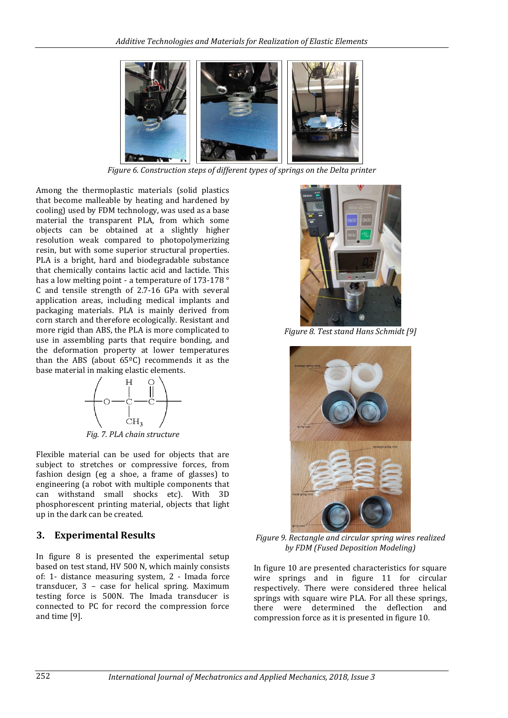

*Figure 6. Construction steps of different types of springs on the Delta printer*

Among the thermoplastic materials (solid plastics that become malleable by heating and hardened by cooling) used by FDM technology, was used as a base material the transparent PLA, from which some objects can be obtained at a slightly higher resolution weak compared to photopolymerizing resin, but with some superior structural properties. PLA is a bright, hard and biodegradable substance that chemically contains lactic acid and lactide. This has a low melting point - a temperature of 173-178 ° C and tensile strength of 2.7-16 GPa with several application areas, including medical implants and packaging materials. PLA is mainly derived from corn starch and therefore ecologically. Resistant and more rigid than ABS, the PLA is more complicated to use in assembling parts that require bonding, and the deformation property at lower temperatures than the ABS (about  $65^{\circ}$ C) recommends it as the base material in making elastic elements.



*Fig. 7. PLA chain structure*

Flexible material can be used for objects that are subject to stretches or compressive forces, from fashion design (eg a shoe, a frame of glasses) to engineering (a robot with multiple components that can withstand small shocks etc). With 3D phosphorescent printing material, objects that light up in the dark can be created.

#### **3. Experimental Results**

In figure 8 is presented the experimental setup based on test stand, HV 500 N, which mainly consists of: 1- distance measuring system, 2 - Imada force transducer, 3 – case for helical spring. Maximum testing force is 500N. The Imada transducer is connected to PC for record the compression force and time [9].



*Figure 8. Test stand Hans Schmidt [9]*



*Figure 9. Rectangle and circular spring wires realized by FDM (Fused Deposition Modeling)*

In figure 10 are presented characteristics for square wire springs and in figure 11 for circular respectively. There were considered three helical springs with square wire PLA. For all these springs, there were determined the deflection and compression force as it is presented in figure 10.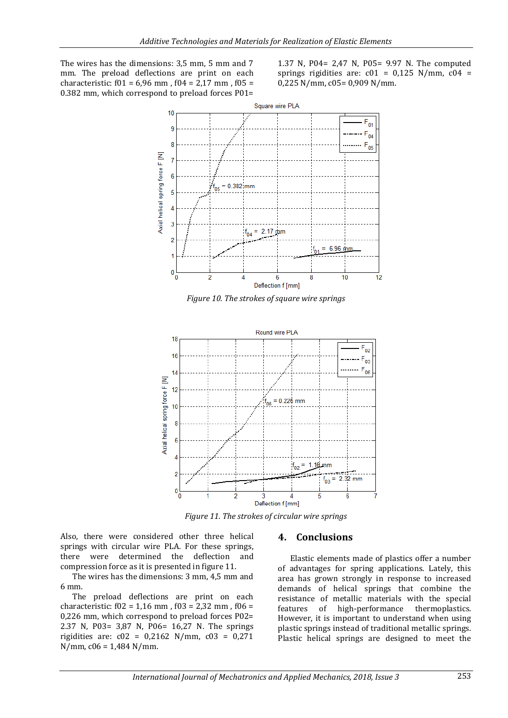The wires has the dimensions: 3,5 mm, 5 mm and 7 mm. The preload deflections are print on each characteristic:  $f01 = 6,96$  mm,  $f04 = 2,17$  mm,  $f05 =$ 0.382 mm, which correspond to preload forces P01= 1.37 N, P04= 2,47 N, P05= 9.97 N. The computed springs rigidities are:  $c01 = 0.125$  N/mm,  $c04 =$ 0,225 N/mm, c05= 0,909 N/mm.





*Figure 11. The strokes of circular wire springs*

Also, there were considered other three helical springs with circular wire PLA. For these springs, there were determined the deflection and compression force as it is presented in figure 11.

The wires has the dimensions: 3 mm, 4,5 mm and 6 mm.

The preload deflections are print on each characteristic:  $f02 = 1,16$  mm,  $f03 = 2,32$  mm,  $f06 =$ 0,226 mm, which correspond to preload forces P02= 2.37 N, P03= 3,87 N, P06= 16,27 N. The springs rigidities are: c02 = 0,2162 N/mm, c03 = 0,271 N/mm, c06 = 1,484 N/mm.

#### **4. Conclusions**

Elastic elements made of plastics offer a number of advantages for spring applications. Lately, this area has grown strongly in response to increased demands of helical springs that combine the resistance of metallic materials with the special features of high-performance thermoplastics. However, it is important to understand when using plastic springs instead of traditional metallic springs. Plastic helical springs are designed to meet the